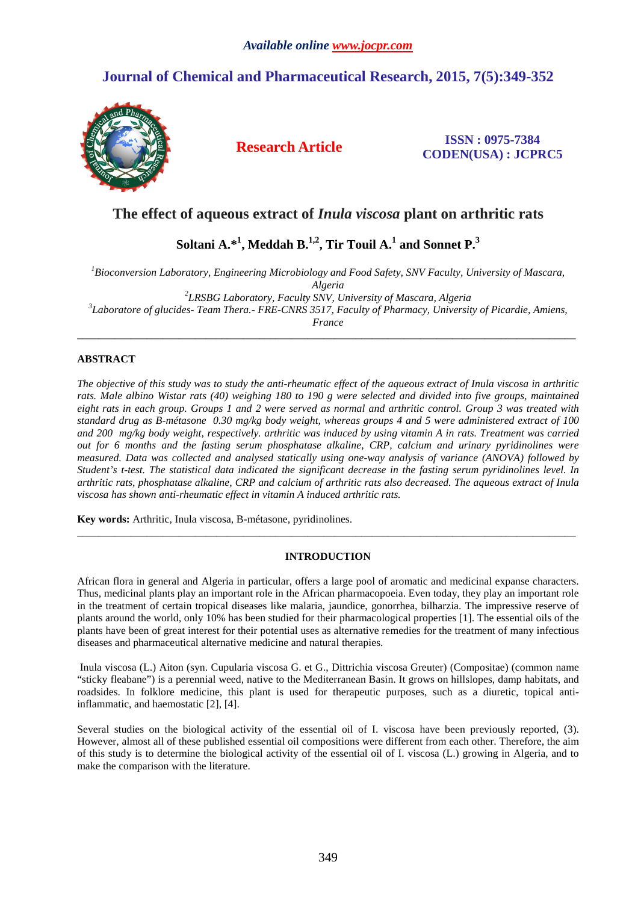# **Journal of Chemical and Pharmaceutical Research, 2015, 7(5):349-352**



# **Research Article ISSN : 0975-7384 CODEN(USA) : JCPRC5**

# **The effect of aqueous extract of** *Inula viscosa* **plant on arthritic rats**

 $\boldsymbol{\mathrm{Soltani}}$   $\boldsymbol{\mathrm{A}}$ . $^{*1}$ ,  $\boldsymbol{\mathrm{Meddah}}$   $\boldsymbol{\mathrm{B}}$ . $^{1,2}$ ,  $\boldsymbol{\mathrm{Tir}}$   $\boldsymbol{\mathrm{Toul}}$   $\boldsymbol{\mathrm{A}}$ . $^{1}$  and  $\boldsymbol{\mathrm{Sonnet}}$   $\boldsymbol{\mathrm{P}}$ . $^{3}$ 

*<sup>1</sup>Bioconversion Laboratory, Engineering Microbiology and Food Safety, SNV Faculty, University of Mascara, Algeria 2 LRSBG Laboratory, Faculty SNV, University of Mascara, Algeria* 

*3 Laboratore of glucides- Team Thera.- FRE-CNRS 3517, Faculty of Pharmacy, University of Picardie, Amiens,* 

*France*   $\overline{a}$  , and the contribution of the contribution of the contribution of the contribution of the contribution of the contribution of the contribution of the contribution of the contribution of the contribution of the co

# **ABSTRACT**

*The objective of this study was to study the anti-rheumatic effect of the aqueous extract of Inula viscosa in arthritic rats. Male albino Wistar rats (40) weighing 180 to 190 g were selected and divided into five groups, maintained eight rats in each group. Groups 1 and 2 were served as normal and arthritic control. Group 3 was treated with standard drug as B-métasone 0.30 mg/kg body weight, whereas groups 4 and 5 were administered extract of 100 and 200 mg/kg body weight, respectively. arthritic was induced by using vitamin A in rats. Treatment was carried out for 6 months and the fasting serum phosphatase alkaline, CRP, calcium and urinary pyridinolines were measured. Data was collected and analysed statically using one-way analysis of variance (ANOVA) followed by Student's t-test. The statistical data indicated the significant decrease in the fasting serum pyridinolines level. In arthritic rats, phosphatase alkaline, CRP and calcium of arthritic rats also decreased. The aqueous extract of Inula viscosa has shown anti-rheumatic effect in vitamin A induced arthritic rats.* 

**Key words:** Arthritic, Inula viscosa, B-métasone, pyridinolines.

# **INTRODUCTION**

 $\overline{a}$  , and the contribution of the contribution of the contribution of the contribution of the contribution of the contribution of the contribution of the contribution of the contribution of the contribution of the co

African flora in general and Algeria in particular, offers a large pool of aromatic and medicinal expanse characters. Thus, medicinal plants play an important role in the African pharmacopoeia. Even today, they play an important role in the treatment of certain tropical diseases like malaria, jaundice, gonorrhea, bilharzia. The impressive reserve of plants around the world, only 10% has been studied for their pharmacological properties [1]. The essential oils of the plants have been of great interest for their potential uses as alternative remedies for the treatment of many infectious diseases and pharmaceutical alternative medicine and natural therapies.

 Inula viscosa (L.) Aiton (syn. Cupularia viscosa G. et G., Dittrichia viscosa Greuter) (Compositae) (common name "sticky fleabane") is a perennial weed, native to the Mediterranean Basin. It grows on hillslopes, damp habitats, and roadsides. In folklore medicine, this plant is used for therapeutic purposes, such as a diuretic, topical antiinflammatic, and haemostatic [2], [4].

Several studies on the biological activity of the essential oil of I. viscosa have been previously reported, (3). However, almost all of these published essential oil compositions were different from each other. Therefore, the aim of this study is to determine the biological activity of the essential oil of I. viscosa (L.) growing in Algeria, and to make the comparison with the literature.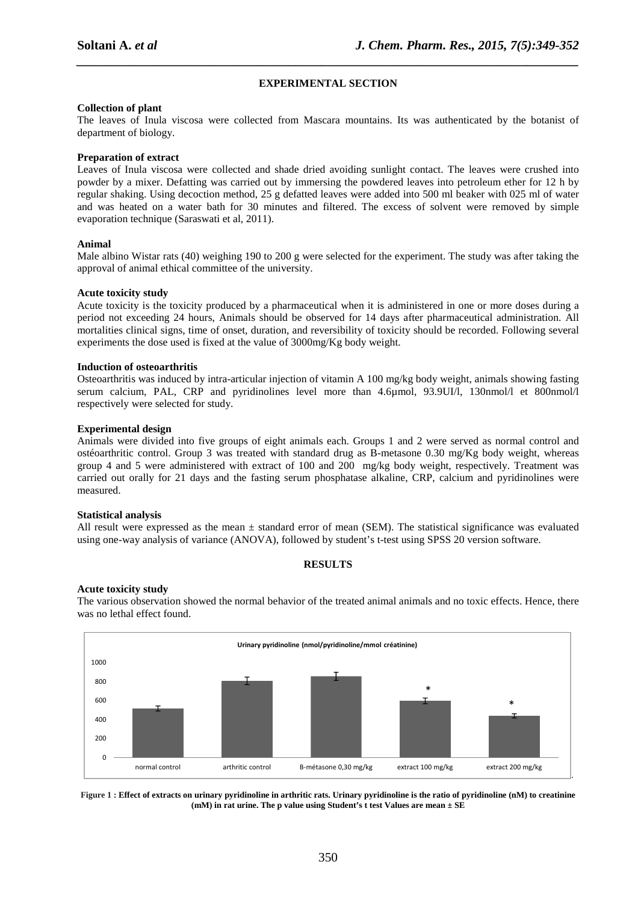# **EXPERIMENTAL SECTION**

*\_\_\_\_\_\_\_\_\_\_\_\_\_\_\_\_\_\_\_\_\_\_\_\_\_\_\_\_\_\_\_\_\_\_\_\_\_\_\_\_\_\_\_\_\_\_\_\_\_\_\_\_\_\_\_\_\_\_\_\_\_\_\_\_\_\_\_\_\_\_\_\_\_\_\_\_\_\_*

# **Collection of plant**

The leaves of Inula viscosa were collected from Mascara mountains. Its was authenticated by the botanist of department of biology.

# **Preparation of extract**

Leaves of Inula viscosa were collected and shade dried avoiding sunlight contact. The leaves were crushed into powder by a mixer. Defatting was carried out by immersing the powdered leaves into petroleum ether for 12 h by regular shaking. Using decoction method, 25 g defatted leaves were added into 500 ml beaker with 025 ml of water and was heated on a water bath for 30 minutes and filtered. The excess of solvent were removed by simple evaporation technique (Saraswati et al, 2011).

## **Animal**

Male albino Wistar rats (40) weighing 190 to 200 g were selected for the experiment. The study was after taking the approval of animal ethical committee of the university.

## **Acute toxicity study**

Acute toxicity is the toxicity produced by a pharmaceutical when it is administered in one or more doses during a period not exceeding 24 hours, Animals should be observed for 14 days after pharmaceutical administration. All mortalities clinical signs, time of onset, duration, and reversibility of toxicity should be recorded. Following several experiments the dose used is fixed at the value of 3000mg/Kg body weight.

## **Induction of osteoarthritis**

Osteoarthritis was induced by intra-articular injection of vitamin A 100 mg/kg body weight, animals showing fasting serum calcium, PAL, CRP and pyridinolines level more than 4.6umol, 93.9UI/l, 130nmol/l et 800nmol/l respectively were selected for study.

## **Experimental design**

Animals were divided into five groups of eight animals each. Groups 1 and 2 were served as normal control and ostéoarthritic control. Group 3 was treated with standard drug as B-metasone 0.30 mg/Kg body weight, whereas group 4 and 5 were administered with extract of 100 and 200 mg/kg body weight, respectively. Treatment was carried out orally for 21 days and the fasting serum phosphatase alkaline, CRP, calcium and pyridinolines were measured.

#### **Statistical analysis**

All result were expressed as the mean  $\pm$  standard error of mean (SEM). The statistical significance was evaluated using one-way analysis of variance (ANOVA), followed by student's t-test using SPSS 20 version software.

# **RESULTS**

#### **Acute toxicity study**

The various observation showed the normal behavior of the treated animal animals and no toxic effects. Hence, there was no lethal effect found.



**Figure 1 : Effect of extracts on urinary pyridinoline in arthritic rats. Urinary pyridinoline is the ratio of pyridinoline (nM) to creatinine (mM) in rat urine. The p value using Student's t test Values are mean ± SE**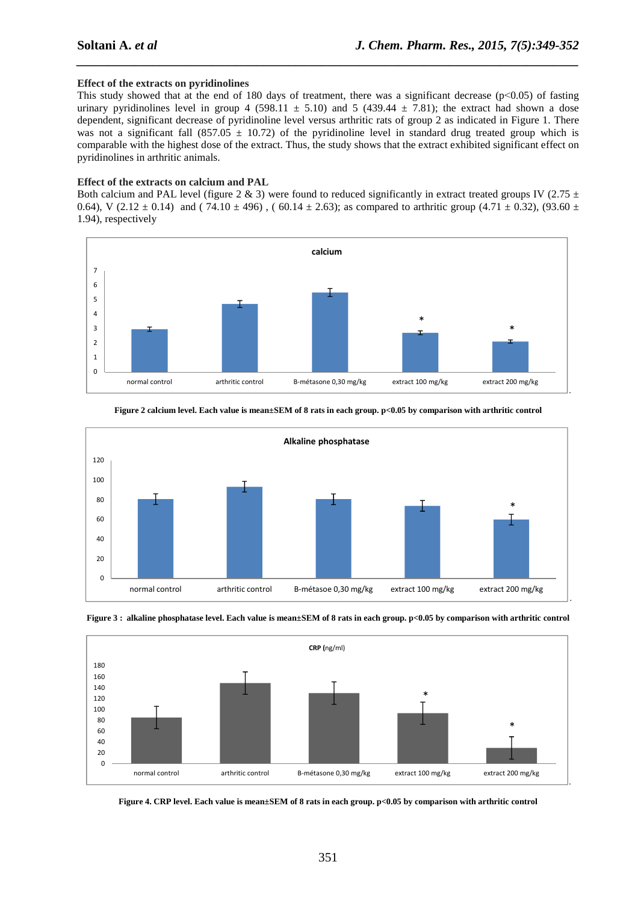## **Effect of the extracts on pyridinolines**

This study showed that at the end of 180 days of treatment, there was a significant decrease ( $p<0.05$ ) of fasting urinary pyridinolines level in group 4 (598.11  $\pm$  5.10) and 5 (439.44  $\pm$  7.81); the extract had shown a dose dependent, significant decrease of pyridinoline level versus arthritic rats of group 2 as indicated in Figure 1. There was not a significant fall (857.05  $\pm$  10.72) of the pyridinoline level in standard drug treated group which is comparable with the highest dose of the extract. Thus, the study shows that the extract exhibited significant effect on pyridinolines in arthritic animals.

*\_\_\_\_\_\_\_\_\_\_\_\_\_\_\_\_\_\_\_\_\_\_\_\_\_\_\_\_\_\_\_\_\_\_\_\_\_\_\_\_\_\_\_\_\_\_\_\_\_\_\_\_\_\_\_\_\_\_\_\_\_\_\_\_\_\_\_\_\_\_\_\_\_\_\_\_\_\_*

#### **Effect of the extracts on calcium and PAL**

Both calcium and PAL level (figure 2 & 3) were found to reduced significantly in extract treated groups IV (2.75  $\pm$ 0.64), V (2.12  $\pm$  0.14) and (74.10  $\pm$  496), (60.14  $\pm$  2.63); as compared to arthritic group (4.71  $\pm$  0.32), (93.60  $\pm$ 1.94), respectively











# **Figure 2 calcium level. Each value is mean±SEM of 8 rats in each group. p<0.05 by comparison with arthritic control**